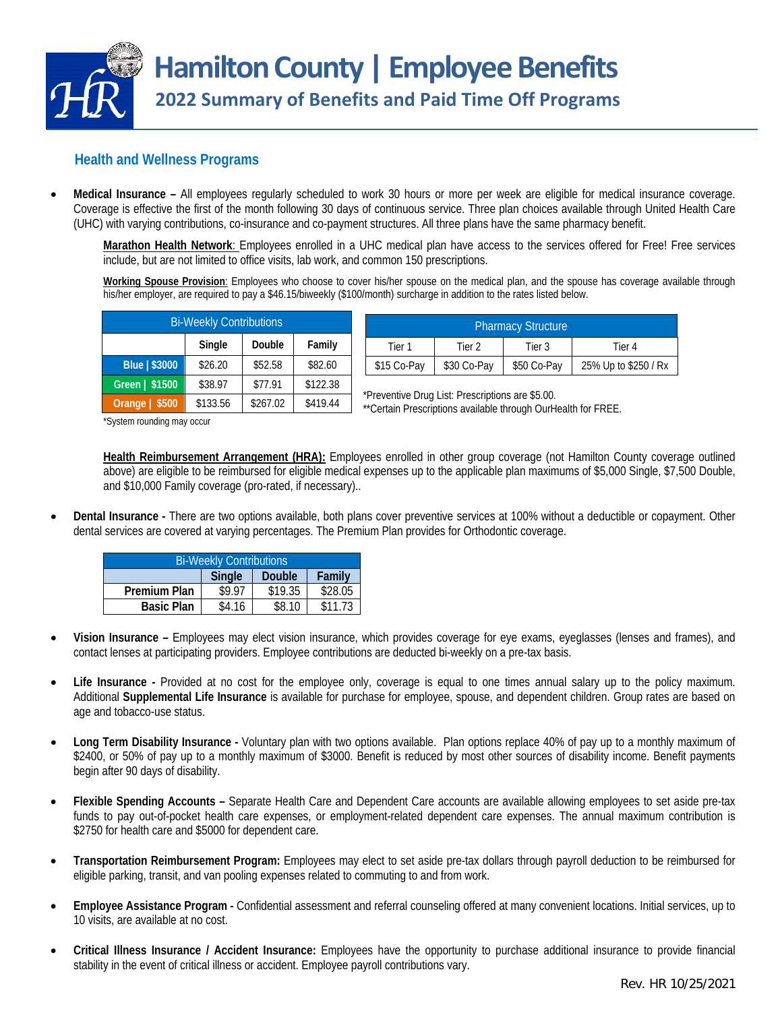

## **Health and Wellness Programs**

 **Medical Insurance –** All employees regularly scheduled to work 30 hours or more per week are eligible for medical insurance coverage. Coverage is effective the first of the month following 30 days of continuous service. Three plan choices available through United Health Care (UHC) with varying contributions, co-insurance and co-payment structures. All three plans have the same pharmacy benefit.

**Marathon Health Network**: Employees enrolled in a UHC medical plan have access to the services offered for Free! Free services include, but are not limited to office visits, lab work, and common 150 prescriptions.

**Working Spouse Provision**: Employees who choose to cover his/her spouse on the medical plan, and the spouse has coverage available through his/her employer, are required to pay a \$46.15/biweekly (\$100/month) surcharge in addition to the rates listed below.

| <b>Bi-Weekly Contributions</b> |          |          |          |  |  |
|--------------------------------|----------|----------|----------|--|--|
|                                | Single   | Double   | Family   |  |  |
| Blue   \$3000                  | \$26.20  | \$52.58  | \$82.60  |  |  |
| Green   \$1500                 | \$38.97  | \$77.91  | \$122.38 |  |  |
| Orange $  $500$                | \$133.56 | \$267.02 | \$419.44 |  |  |

| <b>Pharmacy Structure</b> |             |             |                      |  |  |  |
|---------------------------|-------------|-------------|----------------------|--|--|--|
| Tier 1                    | Tier 2      | Tier 3      | Tier 4               |  |  |  |
| \$15 Co-Pav               | \$30 Co-Pay | \$50 Co-Pay | 25% Up to \$250 / Rx |  |  |  |

\*Preventive Drug List: Prescriptions are \$5.00.

\*\*Certain Prescriptions available through OurHealth for FREE.

\*System rounding may occur

**Health Reimbursement Arrangement (HRA):** Employees enrolled in other group coverage (not Hamilton County coverage outlined above) are eligible to be reimbursed for eligible medical expenses up to the applicable plan maximums of \$5,000 Single, \$7,500 Double, and \$10,000 Family coverage (pro-rated, if necessary)..

 **Dental Insurance -** There are two options available, both plans cover preventive services at 100% without a deductible or copayment. Other dental services are covered at varying percentages. The Premium Plan provides for Orthodontic coverage.

| <b>Bi-Weekly Contributions</b> |               |         |         |  |  |
|--------------------------------|---------------|---------|---------|--|--|
|                                | <b>Single</b> | Double  | Family  |  |  |
| <b>Premium Plan</b>            | \$9.97        | \$19.35 | \$28.05 |  |  |
| <b>Basic Plan</b>              | \$4.16        | \$8.10  | \$11.73 |  |  |

- **Vision Insurance –** Employees may elect vision insurance, which provides coverage for eye exams, eyeglasses (lenses and frames), and contact lenses at participating providers. Employee contributions are deducted bi-weekly on a pre-tax basis.
- **Life Insurance -** Provided at no cost for the employee only, coverage is equal to one times annual salary up to the policy maximum. Additional **Supplemental Life Insurance** is available for purchase for employee, spouse, and dependent children. Group rates are based on age and tobacco-use status.
- **Long Term Disability Insurance** Voluntary plan with two options available. Plan options replace 40% of pay up to a monthly maximum of \$2400, or 50% of pay up to a monthly maximum of \$3000. Benefit is reduced by most other sources of disability income. Benefit payments begin after 90 days of disability.
- **Flexible Spending Accounts** Separate Health Care and Dependent Care accounts are available allowing employees to set aside pre-tax funds to pay out-of-pocket health care expenses, or employment-related dependent care expenses. The annual maximum contribution is \$2750 for health care and \$5000 for dependent care.
- **Transportation Reimbursement Program:** Employees may elect to set aside pre-tax dollars through payroll deduction to be reimbursed for eligible parking, transit, and van pooling expenses related to commuting to and from work.
- **Employee Assistance Program** Confidential assessment and referral counseling offered at many convenient locations. Initial services, up to 10 visits, are available at no cost.
- **Critical Illness Insurance / Accident Insurance:** Employees have the opportunity to purchase additional insurance to provide financial stability in the event of critical illness or accident. Employee payroll contributions vary.